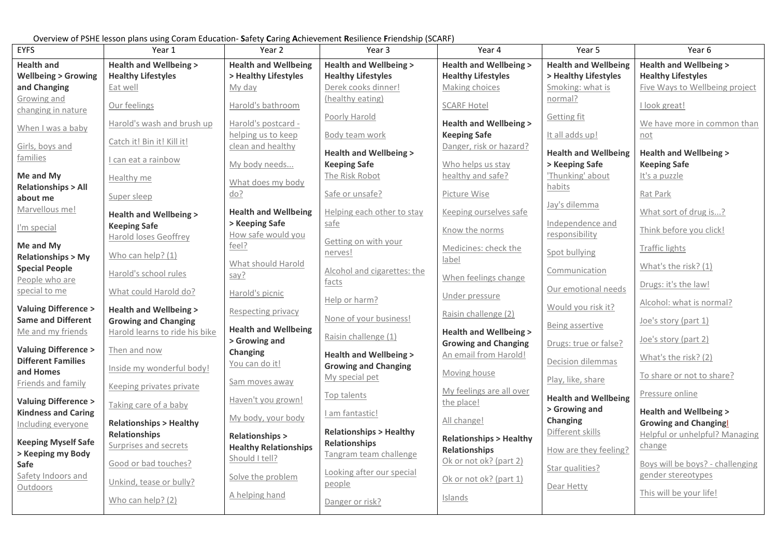Overview of PSHE lesson plans using Coram Education- **S**afety **C**aring **A**chievement **R**esilience **F**riendship (SCARF)

| <b>EYFS</b>                                   | Year 1                                | Year 2                               | Year 3                                                    | Year 4                                      | Year 5                                   | Year 6                                                      |
|-----------------------------------------------|---------------------------------------|--------------------------------------|-----------------------------------------------------------|---------------------------------------------|------------------------------------------|-------------------------------------------------------------|
| <b>Health and</b>                             | <b>Health and Wellbeing &gt;</b>      | <b>Health and Wellbeing</b>          | <b>Health and Wellbeing &gt;</b>                          | <b>Health and Wellbeing &gt;</b>            | <b>Health and Wellbeing</b>              | <b>Health and Wellbeing &gt;</b>                            |
| <b>Wellbeing &gt; Growing</b><br>and Changing | <b>Healthy Lifestyles</b><br>Eat well | > Healthy Lifestyles<br>My day       | <b>Healthy Lifestyles</b><br>Derek cooks dinner!          | <b>Healthy Lifestyles</b><br>Making choices | > Healthy Lifestyles<br>Smoking: what is | <b>Healthy Lifestyles</b><br>Five Ways to Wellbeing project |
| Growing and                                   |                                       |                                      | (healthy eating)                                          |                                             | normal?                                  |                                                             |
| changing in nature                            | Our feelings                          | Harold's bathroom                    |                                                           | <b>SCARF Hotel</b>                          |                                          | I look great!                                               |
| When I was a baby                             | Harold's wash and brush up            | Harold's postcard -                  | Poorly Harold                                             | <b>Health and Wellbeing &gt;</b>            | Getting fit                              | We have more in common than                                 |
|                                               |                                       | helping us to keep                   | Body team work                                            | <b>Keeping Safe</b>                         | It all adds up!                          | not                                                         |
| Girls, boys and                               | Catch it! Bin it! Kill it!            | clean and healthy                    | <b>Health and Wellbeing &gt;</b>                          | Danger, risk or hazard?                     | <b>Health and Wellbeing</b>              | <b>Health and Wellbeing &gt;</b>                            |
| families                                      | I can eat a rainbow                   | My body needs                        | <b>Keeping Safe</b>                                       | Who helps us stay                           | > Keeping Safe                           | <b>Keeping Safe</b>                                         |
| Me and My                                     | Healthy me                            |                                      | The Risk Robot                                            | healthy and safe?                           | 'Thunking' about                         | It's a puzzle                                               |
| <b>Relationships &gt; All</b>                 | Super sleep                           | What does my body<br>do?             | Safe or unsafe?                                           | Picture Wise                                | habits                                   | Rat Park                                                    |
| about me<br>Marvellous me!                    |                                       |                                      |                                                           |                                             | Jay's dilemma                            |                                                             |
|                                               | <b>Health and Wellbeing &gt;</b>      | <b>Health and Wellbeing</b>          | Helping each other to stay                                | Keeping ourselves safe                      |                                          | What sort of drug is?                                       |
| I'm special                                   | <b>Keeping Safe</b>                   | > Keeping Safe<br>How safe would you | safe                                                      | Know the norms                              | Independence and<br>responsibility       | Think before you click!                                     |
| Me and My                                     | Harold loses Geoffrey                 | feel?                                | Getting on with your                                      | Medicines: check the                        |                                          | <b>Traffic lights</b>                                       |
| <b>Relationships &gt; My</b>                  | Who can help? (1)                     |                                      | nerves!                                                   | label                                       | Spot bullying                            |                                                             |
| <b>Special People</b>                         | Harold's school rules                 | What should Harold                   | Alcohol and cigarettes: the                               |                                             | Communication                            | What's the risk? (1)                                        |
| People who are                                |                                       | say?                                 | facts                                                     | When feelings change                        |                                          | Drugs: it's the law!                                        |
| special to me                                 | What could Harold do?                 | Harold's picnic                      | Help or harm?                                             | Under pressure                              | Our emotional needs                      |                                                             |
| <b>Valuing Difference &gt;</b>                | <b>Health and Wellbeing &gt;</b>      | Respecting privacy                   |                                                           | Raisin challenge (2)                        | Would you risk it?                       | Alcohol: what is normal?                                    |
| <b>Same and Different</b>                     | <b>Growing and Changing</b>           |                                      | None of your business!                                    |                                             | Being assertive                          | Joe's story (part 1)                                        |
| Me and my friends                             | Harold learns to ride his bike        | <b>Health and Wellbeing</b>          | Raisin challenge (1)                                      | <b>Health and Wellbeing &gt;</b>            |                                          | Joe's story (part 2)                                        |
| <b>Valuing Difference &gt;</b>                | Then and now                          | > Growing and<br>Changing            |                                                           | <b>Growing and Changing</b>                 | Drugs: true or false?                    |                                                             |
| <b>Different Families</b>                     |                                       | You can do it!                       | <b>Health and Wellbeing &gt;</b>                          | An email from Harold!                       | Decision dilemmas                        | What's the risk? (2)                                        |
| and Homes                                     | Inside my wonderful body!             |                                      | <b>Growing and Changing</b><br>My special pet             | Moving house                                |                                          | To share or not to share?                                   |
| Friends and family                            | Keeping privates private              | Sam moves away                       |                                                           | My feelings are all over                    | Play, like, share                        |                                                             |
| <b>Valuing Difference &gt;</b>                | Taking care of a baby                 | Haven't you grown!                   | Top talents                                               | the place!                                  | <b>Health and Wellbeing</b>              | Pressure online                                             |
| <b>Kindness and Caring</b>                    |                                       | My body, your body                   | I am fantastic!                                           |                                             | > Growing and                            | <b>Health and Wellbeing &gt;</b>                            |
| Including everyone                            | <b>Relationships &gt; Healthy</b>     |                                      |                                                           | All change!                                 | Changing                                 | <b>Growing and Changing</b>                                 |
| <b>Keeping Myself Safe</b>                    | <b>Relationships</b>                  | <b>Relationships &gt;</b>            | <b>Relationships &gt; Healthy</b><br><b>Relationships</b> | <b>Relationships &gt; Healthy</b>           | Different skills                         | Helpful or unhelpful? Managing                              |
| > Keeping my Body                             | Surprises and secrets                 | <b>Healthy Relationships</b>         | Tangram team challenge                                    | <b>Relationships</b>                        | How are they feeling?                    | change                                                      |
| Safe                                          | Good or bad touches?                  | Should I tell?                       |                                                           | Ok or not ok? (part 2)                      | Star qualities?                          | Boys will be boys? - challenging                            |
| Safety Indoors and                            | Unkind, tease or bully?               | Solve the problem                    | Looking after our special                                 | Ok or not ok? (part 1)                      |                                          | gender stereotypes                                          |
| Outdoors                                      |                                       | A helping hand                       | people                                                    |                                             | Dear Hetty                               | This will be your life!                                     |
|                                               | Who can help? (2)                     |                                      | Danger or risk?                                           | Islands                                     |                                          |                                                             |
|                                               |                                       |                                      |                                                           |                                             |                                          |                                                             |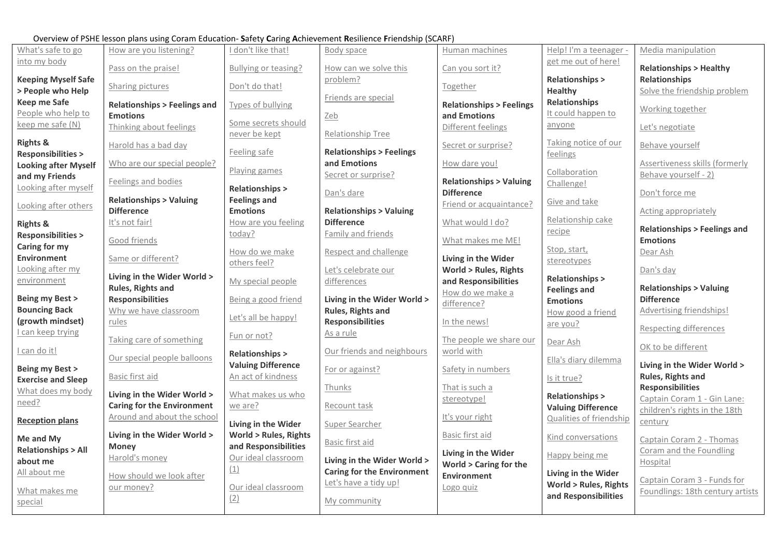## Overview of PSHE lesson plans using Coram Education- **S**afety **C**aring **A**chievement **R**esilience **F**riendship (SCARF)

|                                                             | Overview or i brit ressort plans asing coram Education-Barety Caring Achievement Resinence Friendship (SCANT) |                                             |                                                                  |                                                        |                                                  |                                                      |
|-------------------------------------------------------------|---------------------------------------------------------------------------------------------------------------|---------------------------------------------|------------------------------------------------------------------|--------------------------------------------------------|--------------------------------------------------|------------------------------------------------------|
| What's safe to go                                           | How are you listening?                                                                                        | I don't like that!                          | Body space                                                       | Human machines                                         | Help! I'm a teenager -                           | Media manipulation                                   |
| into my body                                                | Pass on the praise!                                                                                           | Bullying or teasing?                        | How can we solve this                                            | Can you sort it?                                       | get me out of here!                              | <b>Relationships &gt; Healthy</b>                    |
| <b>Keeping Myself Safe</b><br>> People who Help             | Sharing pictures                                                                                              | Don't do that!                              | problem?                                                         | Together                                               | <b>Relationships &gt;</b><br>Healthy             | <b>Relationships</b><br>Solve the friendship problem |
| <b>Keep me Safe</b>                                         | <b>Relationships &gt; Feelings and</b>                                                                        | Types of bullying                           | Friends are special                                              | <b>Relationships &gt; Feelings</b>                     | <b>Relationships</b>                             |                                                      |
| People who help to                                          | <b>Emotions</b>                                                                                               | Some secrets should                         | Zeb                                                              | and Emotions                                           | It could happen to                               | Working together                                     |
| keep me safe (N)                                            | Thinking about feelings                                                                                       | never be kept                               | Relationship Tree                                                | Different feelings                                     | anyone                                           | Let's negotiate                                      |
| <b>Rights &amp;</b>                                         | Harold has a bad day                                                                                          | Feeling safe                                | <b>Relationships &gt; Feelings</b>                               | Secret or surprise?                                    | Taking notice of our                             | Behave yourself                                      |
| <b>Responsibilities &gt;</b><br><b>Looking after Myself</b> | Who are our special people?                                                                                   |                                             | and Emotions                                                     | How dare you!                                          | feelings                                         | Assertiveness skills (formerly                       |
| and my Friends                                              |                                                                                                               | Playing games                               | Secret or surprise?                                              |                                                        | Collaboration                                    | Behave yourself - 2)                                 |
| Looking after myself                                        | Feelings and bodies                                                                                           | <b>Relationships &gt;</b>                   | Dan's dare                                                       | <b>Relationships &gt; Valuing</b><br><b>Difference</b> | Challenge!                                       | Don't force me                                       |
| Looking after others                                        | <b>Relationships &gt; Valuing</b>                                                                             | <b>Feelings and</b>                         |                                                                  | Friend or acquaintance?                                | Give and take                                    |                                                      |
|                                                             | <b>Difference</b>                                                                                             | <b>Emotions</b>                             | <b>Relationships &gt; Valuing</b>                                |                                                        | Relationship cake                                | Acting appropriately                                 |
| <b>Rights &amp;</b>                                         | It's not fair!                                                                                                | How are you feeling<br>today?               | <b>Difference</b><br>Family and friends                          | What would I do?                                       | recipe                                           | <b>Relationships &gt; Feelings and</b>               |
| <b>Responsibilities &gt;</b><br>Caring for my               | Good friends                                                                                                  |                                             |                                                                  | What makes me ME!                                      |                                                  | <b>Emotions</b>                                      |
| <b>Environment</b>                                          | Same or different?                                                                                            | How do we make                              | Respect and challenge                                            | Living in the Wider                                    | Stop, start,<br>stereotypes                      | Dear Ash                                             |
| Looking after my                                            |                                                                                                               | others feel?                                | Let's celebrate our                                              | <b>World &gt; Rules, Rights</b>                        |                                                  | Dan's day                                            |
| <u>environment</u>                                          | Living in the Wider World ><br>Rules, Rights and                                                              | My special people                           | differences                                                      | and Responsibilities                                   | <b>Relationships &gt;</b><br><b>Feelings and</b> | <b>Relationships &gt; Valuing</b>                    |
| <b>Being my Best &gt;</b>                                   | <b>Responsibilities</b>                                                                                       | Being a good friend                         | Living in the Wider World >                                      | How do we make a<br>difference?                        | <b>Emotions</b>                                  | <b>Difference</b>                                    |
| <b>Bouncing Back</b>                                        | Why we have classroom                                                                                         | Let's all be happy!                         | Rules, Rights and                                                |                                                        | How good a friend                                | Advertising friendships!                             |
| (growth mindset)                                            | rules                                                                                                         |                                             | <b>Responsibilities</b>                                          | In the news!                                           | are you?                                         | <b>Respecting differences</b>                        |
| can keep trying                                             | Taking care of something                                                                                      | Fun or not?                                 | As a rule                                                        | The people we share our                                | Dear Ash                                         |                                                      |
| I can do it!                                                | Our special people balloons                                                                                   | <b>Relationships &gt;</b>                   | Our friends and neighbours                                       | world with                                             | Ella's diary dilemma                             | OK to be different                                   |
| <b>Being my Best &gt;</b>                                   |                                                                                                               | <b>Valuing Difference</b>                   | For or against?                                                  | Safety in numbers                                      |                                                  | Living in the Wider World >                          |
| <b>Exercise and Sleep</b>                                   | Basic first aid                                                                                               | An act of kindness                          | Thunks                                                           | That is such a                                         | Is it true?                                      | Rules, Rights and<br><b>Responsibilities</b>         |
| What does my body<br>need?                                  | Living in the Wider World >                                                                                   | What makes us who                           |                                                                  | stereotype!                                            | <b>Relationships &gt;</b>                        | Captain Coram 1 - Gin Lane:                          |
|                                                             | <b>Caring for the Environment</b>                                                                             | we are?                                     | Recount task                                                     |                                                        | <b>Valuing Difference</b>                        | children's rights in the 18th                        |
| <b>Reception plans</b>                                      | Around and about the school                                                                                   | Living in the Wider                         | <b>Super Searcher</b>                                            | It's your right                                        | <b>Qualities of friendship</b>                   | century                                              |
| Me and My                                                   | Living in the Wider World >                                                                                   | <b>World &gt; Rules, Rights</b>             | Basic first aid                                                  | Basic first aid                                        | Kind conversations                               | Captain Coram 2 - Thomas                             |
| <b>Relationships &gt; All</b>                               | <b>Money</b><br>Harold's money                                                                                | and Responsibilities<br>Our ideal classroom |                                                                  | Living in the Wider                                    | Happy being me                                   | Coram and the Foundling                              |
| about me<br>All about me                                    |                                                                                                               | (1)                                         | Living in the Wider World ><br><b>Caring for the Environment</b> | <b>World &gt; Caring for the</b>                       | Living in the Wider                              | Hospital                                             |
|                                                             | How should we look after<br>our money?                                                                        | Our ideal classroom                         | Let's have a tidy up!                                            | Environment<br>Logo quiz                               | <b>World &gt; Rules, Rights</b>                  | Captain Coram 3 - Funds for                          |
| What makes me<br>special                                    |                                                                                                               | (2)                                         | My community                                                     |                                                        | and Responsibilities                             | Foundlings: 18th century artists                     |
|                                                             |                                                                                                               |                                             |                                                                  |                                                        |                                                  |                                                      |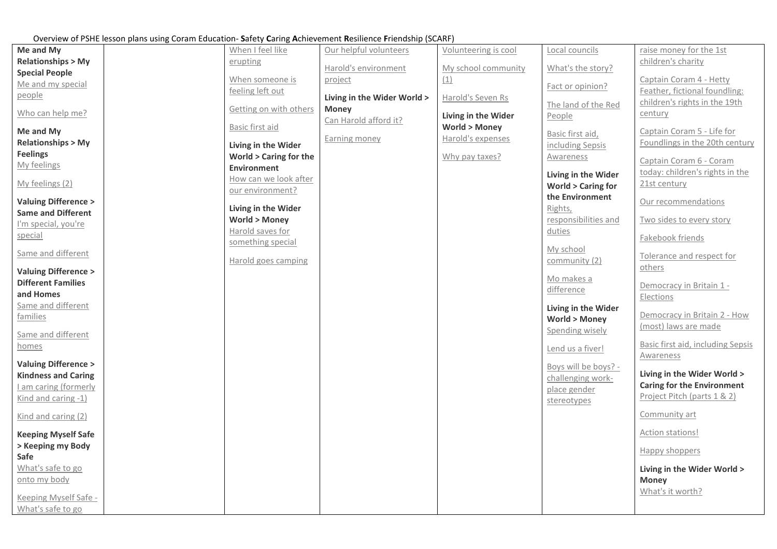## Overview of PSHE lesson plans using Coram Education- **S**afety **C**aring **A**chievement **R**esilience **F**riendship (SCARF)

|                                |                                                | over new or rome resson plans asing coram Eaucution. Sarety cannig richievements resinence intendsing (see any |                         |                              |                                   |
|--------------------------------|------------------------------------------------|----------------------------------------------------------------------------------------------------------------|-------------------------|------------------------------|-----------------------------------|
| Me and My                      | When I feel like                               | Our helpful volunteers                                                                                         | Volunteering is cool    | Local councils               | raise money for the 1st           |
| <b>Relationships &gt; My</b>   | erupting                                       | Harold's environment                                                                                           | My school community     | What's the story?            | children's charity                |
| <b>Special People</b>          | When someone is                                | project                                                                                                        | (1)                     |                              | Captain Coram 4 - Hetty           |
| Me and my special              | feeling left out                               |                                                                                                                |                         | Fact or opinion?             | Feather, fictional foundling:     |
| people                         |                                                | Living in the Wider World >                                                                                    | Harold's Seven Rs       |                              | children's rights in the 19th     |
| Who can help me?               | Getting on with others                         | <b>Money</b>                                                                                                   |                         | The land of the Red          | century                           |
|                                |                                                | Can Harold afford it?                                                                                          | Living in the Wider     | People                       |                                   |
| Me and My                      | Basic first aid                                |                                                                                                                | <b>World &gt; Money</b> | Basic first aid,             | Captain Coram 5 - Life for        |
| <b>Relationships &gt; My</b>   | Living in the Wider                            | Earning money                                                                                                  | Harold's expenses       | including Sepsis             | Foundlings in the 20th century    |
| <b>Feelings</b>                | <b>World &gt; Caring for the</b>               |                                                                                                                | Why pay taxes?          | Awareness                    | Captain Coram 6 - Coram           |
| My feelings                    | <b>Environment</b>                             |                                                                                                                |                         |                              | today: children's rights in the   |
| My feelings (2)                | How can we look after                          |                                                                                                                |                         | Living in the Wider          | 21st century                      |
|                                | our environment?                               |                                                                                                                |                         | <b>World &gt; Caring for</b> |                                   |
| <b>Valuing Difference &gt;</b> |                                                |                                                                                                                |                         | the Environment              | Our recommendations               |
| <b>Same and Different</b>      | Living in the Wider<br><b>World &gt; Money</b> |                                                                                                                |                         | Rights,                      |                                   |
| I'm special, you're            | Harold saves for                               |                                                                                                                |                         | responsibilities and         | Two sides to every story          |
| special                        | something special                              |                                                                                                                |                         | duties                       | Fakebook friends                  |
| Same and different             |                                                |                                                                                                                |                         | My school                    |                                   |
|                                | Harold goes camping                            |                                                                                                                |                         | community (2)                | Tolerance and respect for         |
| <b>Valuing Difference &gt;</b> |                                                |                                                                                                                |                         |                              | others                            |
| <b>Different Families</b>      |                                                |                                                                                                                |                         | Mo makes a                   | Democracy in Britain 1 -          |
| and Homes                      |                                                |                                                                                                                |                         | difference                   | Elections                         |
| Same and different             |                                                |                                                                                                                |                         | Living in the Wider          |                                   |
| families                       |                                                |                                                                                                                |                         | <b>World &gt; Money</b>      | Democracy in Britain 2 - How      |
|                                |                                                |                                                                                                                |                         | Spending wisely              | (most) laws are made              |
| Same and different             |                                                |                                                                                                                |                         |                              | Basic first aid, including Sepsis |
| homes                          |                                                |                                                                                                                |                         | Lend us a fiver!             | Awareness                         |
| <b>Valuing Difference &gt;</b> |                                                |                                                                                                                |                         | Boys will be boys? -         |                                   |
| <b>Kindness and Caring</b>     |                                                |                                                                                                                |                         | challenging work-            | Living in the Wider World >       |
| I am caring (formerly          |                                                |                                                                                                                |                         | place gender                 | <b>Caring for the Environment</b> |
| Kind and caring -1)            |                                                |                                                                                                                |                         | stereotypes                  | Project Pitch (parts 1 & 2)       |
|                                |                                                |                                                                                                                |                         |                              | Community art                     |
| Kind and caring (2)            |                                                |                                                                                                                |                         |                              |                                   |
| <b>Keeping Myself Safe</b>     |                                                |                                                                                                                |                         |                              | Action stations!                  |
| > Keeping my Body              |                                                |                                                                                                                |                         |                              |                                   |
| Safe                           |                                                |                                                                                                                |                         |                              | Happy shoppers                    |
| What's safe to go              |                                                |                                                                                                                |                         |                              | Living in the Wider World >       |
| onto my body                   |                                                |                                                                                                                |                         |                              | <b>Money</b>                      |
|                                |                                                |                                                                                                                |                         |                              | What's it worth?                  |
| Keeping Myself Safe -          |                                                |                                                                                                                |                         |                              |                                   |
| What's safe to go              |                                                |                                                                                                                |                         |                              |                                   |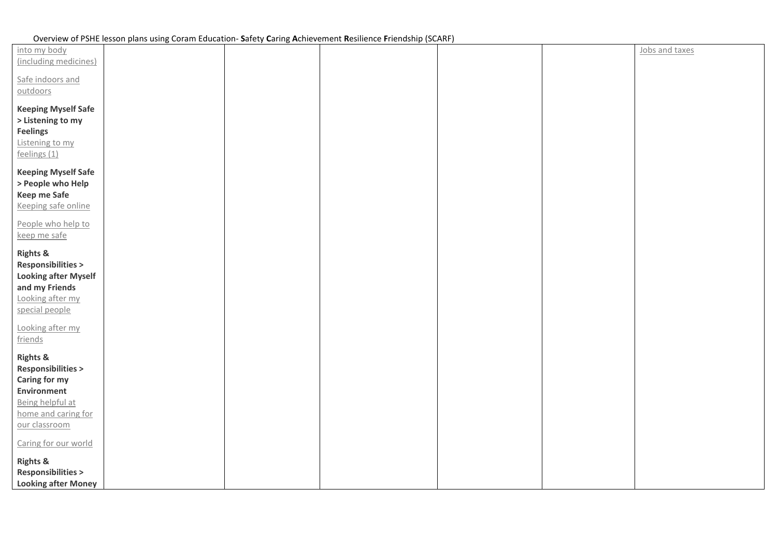| into my body                                                                                                                                           |  |  | Jobs and taxes |
|--------------------------------------------------------------------------------------------------------------------------------------------------------|--|--|----------------|
| (including medicines)                                                                                                                                  |  |  |                |
| Safe indoors and<br>outdoors                                                                                                                           |  |  |                |
| <b>Keeping Myself Safe</b>                                                                                                                             |  |  |                |
| > Listening to my<br><b>Feelings</b>                                                                                                                   |  |  |                |
| Listening to my<br>feelings (1)                                                                                                                        |  |  |                |
| <b>Keeping Myself Safe</b>                                                                                                                             |  |  |                |
| > People who Help<br>Keep me Safe                                                                                                                      |  |  |                |
| Keeping safe online                                                                                                                                    |  |  |                |
| People who help to                                                                                                                                     |  |  |                |
| keep me safe                                                                                                                                           |  |  |                |
| <b>Rights &amp;</b><br><b>Responsibilities &gt;</b><br><b>Looking after Myself</b><br>and my Friends<br>Looking after my<br>special people             |  |  |                |
| Looking after my<br>friends                                                                                                                            |  |  |                |
| <b>Rights &amp;</b><br><b>Responsibilities &gt;</b><br>Caring for my<br><b>Environment</b><br>Being helpful at<br>home and caring for<br>our classroom |  |  |                |
| Caring for our world                                                                                                                                   |  |  |                |
| <b>Rights &amp;</b><br><b>Responsibilities &gt;</b><br><b>Looking after Money</b>                                                                      |  |  |                |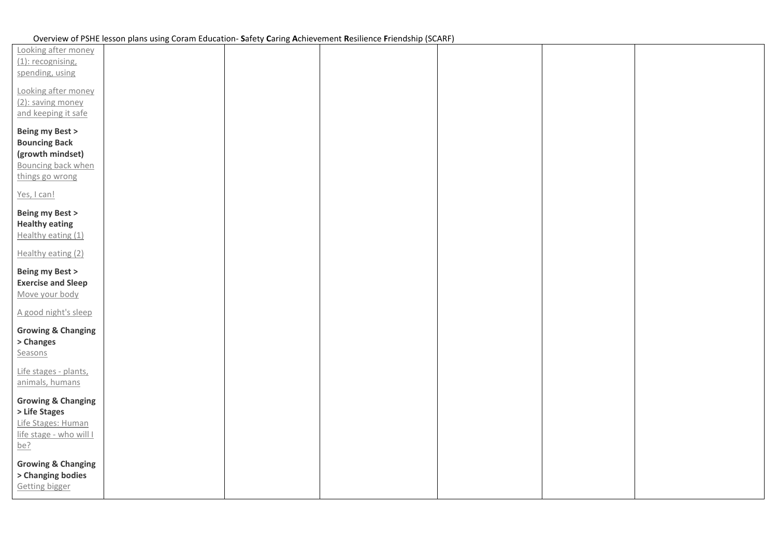| Looking after money<br>(1): recognising,<br>spending, using                                                    |  |  |  |
|----------------------------------------------------------------------------------------------------------------|--|--|--|
| Looking after money<br>(2): saving money<br>and keeping it safe                                                |  |  |  |
| <b>Being my Best &gt;</b><br><b>Bouncing Back</b><br>(growth mindset)<br>Bouncing back when<br>things go wrong |  |  |  |
| Yes, I can!<br>Being my Best ><br><b>Healthy eating</b><br>Healthy eating (1)                                  |  |  |  |
| Healthy eating (2)                                                                                             |  |  |  |
| Being my Best ><br><b>Exercise and Sleep</b><br>Move your body                                                 |  |  |  |
| A good night's sleep<br><b>Growing &amp; Changing</b><br>> Changes<br>Seasons                                  |  |  |  |
| Life stages - plants,<br>animals, humans                                                                       |  |  |  |
| <b>Growing &amp; Changing</b><br>> Life Stages<br>Life Stages: Human<br>life stage - who will I<br>be?         |  |  |  |
| <b>Growing &amp; Changing</b><br>> Changing bodies<br><b>Getting bigger</b>                                    |  |  |  |